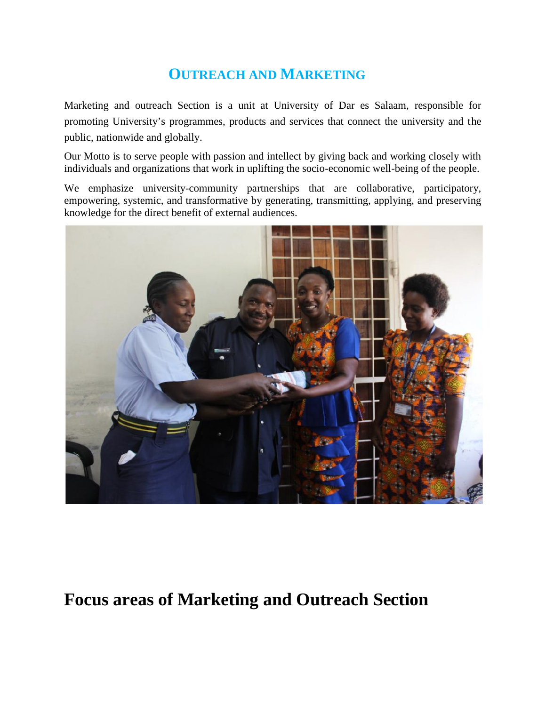## **OUTREACH AND MARKETING**

Marketing and outreach Section is a unit at University of Dar es Salaam, responsible for promoting University's programmes, products and services that connect the university and the public, nationwide and globally.

Our Motto is to serve people with passion and intellect by giving back and working closely with individuals and organizations that work in uplifting the socio-economic well-being of the people.

We emphasize university-community partnerships that are collaborative, participatory, empowering, systemic, and transformative by generating, transmitting, applying, and preserving knowledge for the direct benefit of external audiences.



## **Focus areas of Marketing and Outreach Section**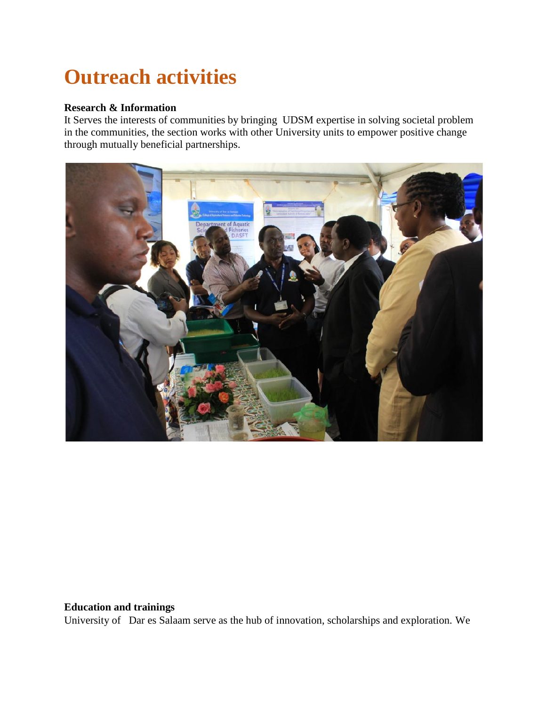# **Outreach activities**

### **Research & Information**

It Serves the interests of communities by bringing UDSM expertise in solving societal problem in the communities, the section works with other University units to empower positive change through mutually beneficial partnerships.



### **Education and trainings**

University of Dar es Salaam serve as the hub of innovation, scholarships and exploration. We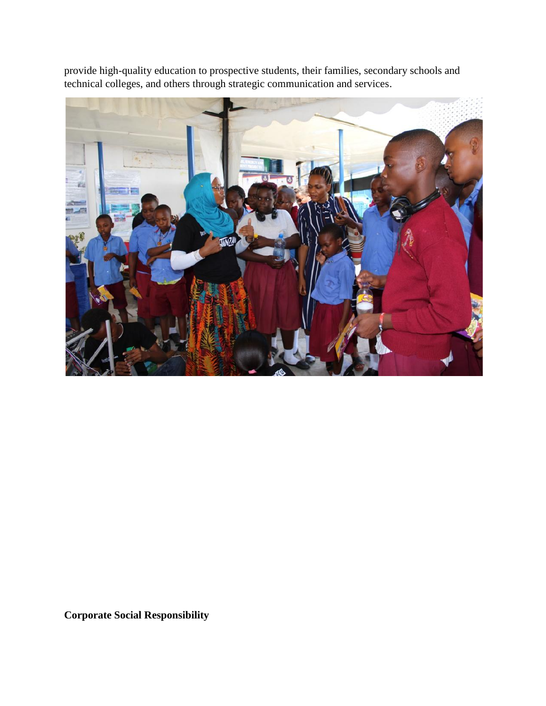provide high-quality education to prospective students, their families, secondary schools and technical colleges, and others through strategic communication and services.



**Corporate Social Responsibility**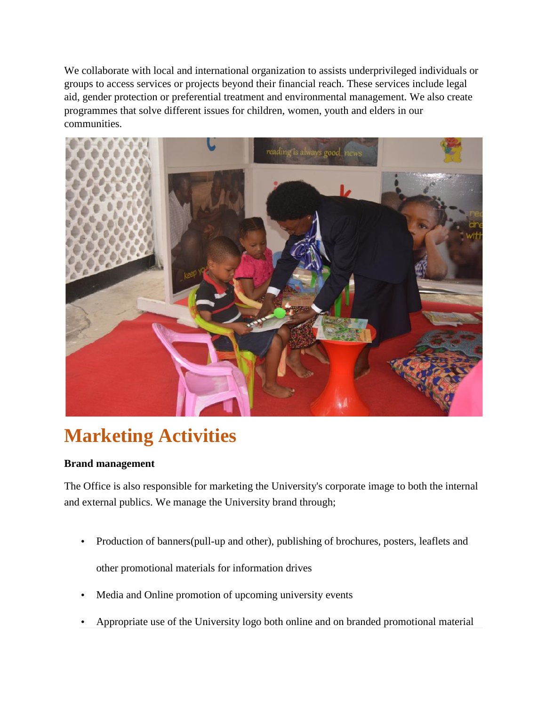We collaborate with local and international organization to assists underprivileged individuals or groups to access services or projects beyond their financial reach. These services include legal aid, gender protection or preferential treatment and environmental management. We also create programmes that solve different issues for children, women, youth and elders in our communities.



# **Marketing Activities**

### **Brand management**

The Office is also responsible for marketing the University's corporate image to both the internal and external publics. We manage the University brand through;

- Production of banners(pull-up and other), publishing of brochures, posters, leaflets and other promotional materials for information drives
- Media and Online promotion of upcoming university events
- Appropriate use of the University logo both online and on branded promotional material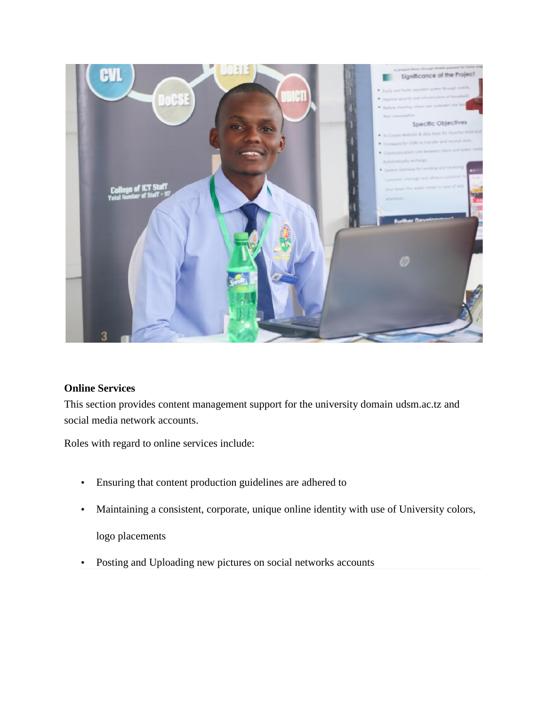

### **Online Services**

This section provides content management support for the university domain udsm.ac.tz and social media network accounts.

Roles with regard to online services include:

- Ensuring that content production guidelines are adhered to
- Maintaining a consistent, corporate, unique online identity with use of University colors,

logo placements

Posting and Uploading new pictures on social networks accounts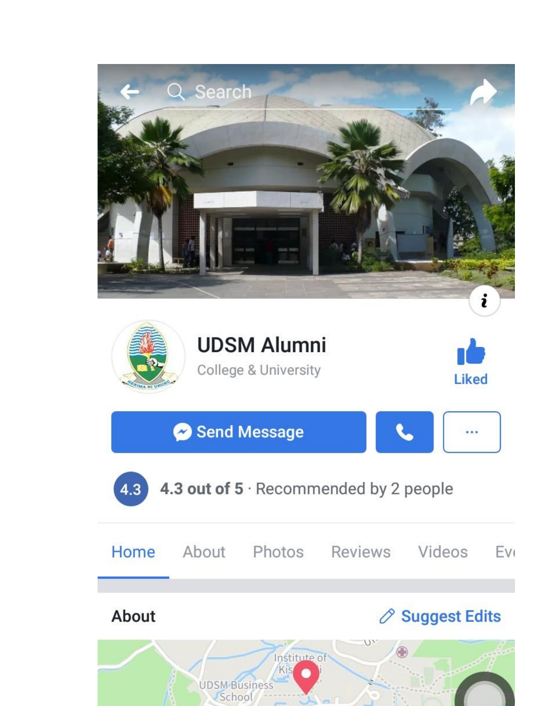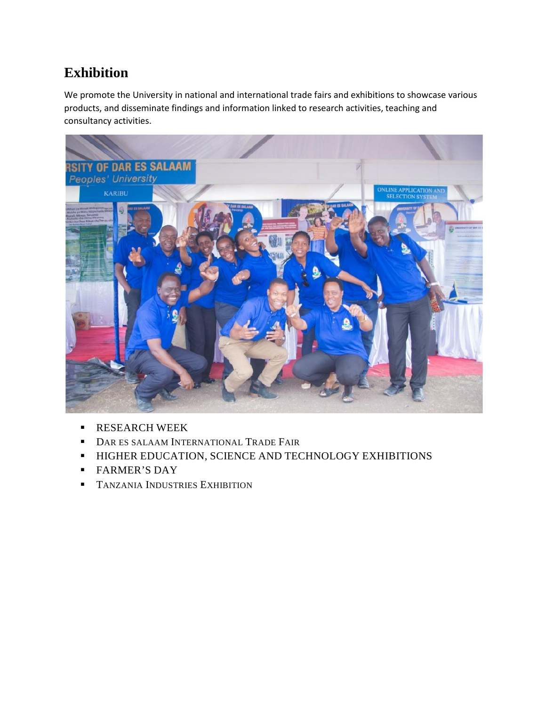### **Exhibition**

We promote the University in national and international trade fairs and exhibitions to showcase various products, and disseminate findings and information linked to research activities, teaching and consultancy activities.



- RESEARCH WEEK
- **DAR ES SALAAM INTERNATIONAL TRADE FAIR**
- **HIGHER EDUCATION, SCIENCE AND TECHNOLOGY EXHIBITIONS**
- **FARMER'S DAY**
- **TANZANIA INDUSTRIES EXHIBITION**